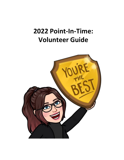# **2022 Point-In-Time: Volunteer Guide**

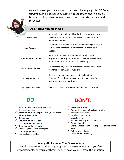As a volunteer, you have an important and challenging role. PIT Count surveys must be delivered accurately, respectfully, and in a timely fashion. It's important for everyone to feel comfortable, safe, and respected.



#### **An Effective Volunteer Will:**

| Be Objective                   | Approach people without bias. Avoid inserting your own<br>views or expectations into the survey process. Be friendly<br>but remain neutral.                        |
|--------------------------------|--------------------------------------------------------------------------------------------------------------------------------------------------------------------|
| Have Patience                  | Do your best to remain calm and understanding during the<br>survey. Ask a seasoned volunteer for help or advice if<br>needed.                                      |
| <b>Communicate Clearly</b>     | Ask questions clearly and listen thoughtfully to the<br>responses of participants. Consider how their answer best<br>fits with the response options on the survey. |
| <b>Respect Confidentiality</b> | Do not share any personal information that you hear with<br>your friends, family, or co-workers.                                                                   |
| Show Compassion                | Keep in mind, homelessness is a difficult and trying<br>situation. Try to show compassion but avoid becoming<br>overly personal with participants.                 |
| <b>Be Detail-Orientated</b>    | Follow the survey instructions and questions as written.                                                                                                           |

## DO:

- $\checkmark$  Ask a person to participate if you think they are homeless
- $\checkmark$  Introduce yourself & explain what you are doing
- $\checkmark$  Be sincere and caring
- $\checkmark$  Remain calm
- $\checkmark$  Know how to de-escalate
- $\checkmark$  Know emergency numbers
- $\checkmark$  Know appropriate distance
- $\checkmark$  Honor requests to not participate
- Dress appropriately
- Leave valuables behind



- $\checkmark$  Wake up someone
- √ Approach if you don't feel comfortable
- $\checkmark$  Mandate participation
- $\checkmark$  Invade personal space
- $\checkmark$  Cross barriers
- $\checkmark$  Promise anything you can't deliver
- $\checkmark$  Be judgmental
- $\checkmark$  Share any confidential info or photos of participants
- Panic  $\checkmark$
- $\checkmark$  Put anyone in danger
- Deviate from the survey  $\checkmark$

#### - Always Be Aware of Your Surroundings -

Pay close attention to the body language of everyone nearby. If you feel uncomfortable, nervous, or threatened, remove yourself from the situation.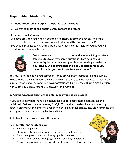### **Steps to Administering a Survey:**

- **1. Identify yourself and explain the purpose of the count.**
- **2. Deliver your script and obtain verbal consent to proceed.**

#### **Sample Script & Consent**

We have provided you with an example of a short, informative script. The script serves to introduce you, your role as a volunteer and the purpose of the PIT Count. You should practice saying the script in a way that is comfortablefor you as you will need to say it multiple times.



**"Hi, my name is . Would you be willing to take a few minutes to answer some questions? I am helping our community learn more about people experiencing homelessness. Yourprivacy will be protected and if any questions make you uncomfortable, you don't have to answer them."**

You must ask the people you approach if they are willing to participate in the survey. Reassure them the information they are providing is strictly confidential. Explain that all the survey responses will be combined. **No information will be released about a single person.** If they say no, just say "thank you anyway" and move on.

#### **3. Ask the screening questions to determine if you should proceed.**

If you can't easily determine if an individual is experiencing homelessness, ask the individual, *"Where are you sleeping tonight?"* Literally homeless locations: sleeping on streets, sidewalk, car, campsite, abandoned building, under bridge, etc. Only complete the survey with those that are eligible to participate.

#### **4. If eligible, then proceed with the survey.**

#### **Be respectful and courteous by:**

- Avoiding judgement
- Showing participants that you're interested in what they say.
- Maintaining eye contact and having openbody contact.
- Using familiar, everyday language that will be easily understood.
- Ask questions as written but provide clarification if they have questions.